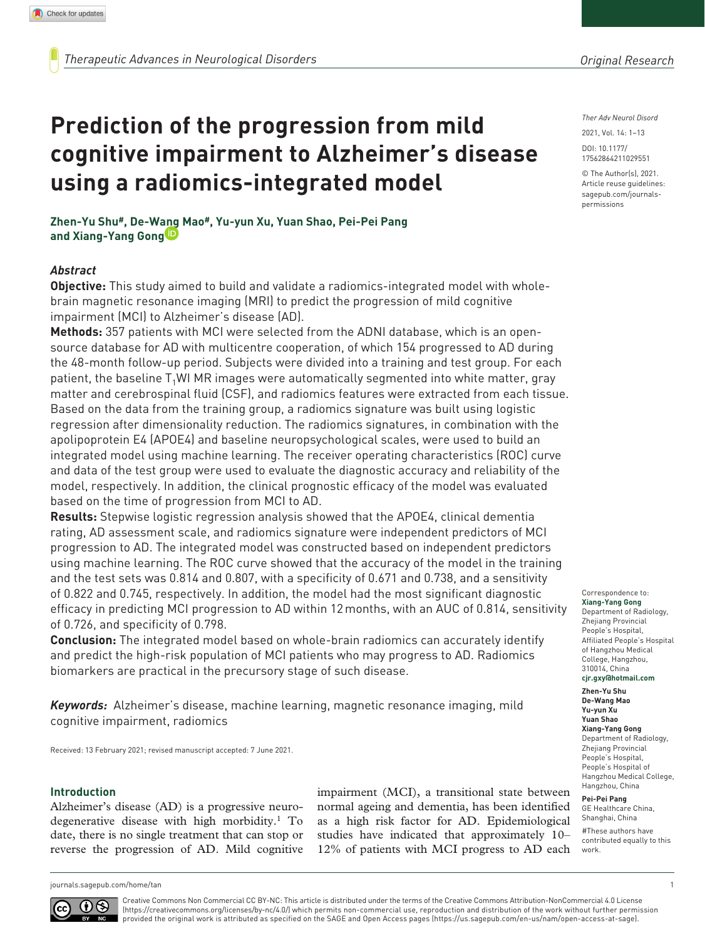*Ther Adv Neurol Disord*

DOI: 10.1177/ 2021, Vol. 14: 1–13

© The Author(s), 2021. Article reuse guidelines: [sagepub.com/journals](https://uk.sagepub.com/en-gb/journals-permissions)[permissions](https://uk.sagepub.com/en-gb/journals-permissions)

https://doi.org/10.1177/17562864211029551 17562864211029551

**Zhen-Yu Shu#, De-Wang Mao#, Yu-yun Xu, Yuan Shao, Pei-Pei Pang and Xiang-Yang Gong**

**using a radiomics-integrated model**

**Prediction of the progression from mild** 

**cognitive impairment to Alzheimer's disease** 

## *Abstract*

**Objective:** This study aimed to build and validate a radiomics-integrated model with wholebrain magnetic resonance imaging (MRI) to predict the progression of mild cognitive impairment (MCI) to Alzheimer's disease (AD).

**Methods:** 357 patients with MCI were selected from the ADNI database, which is an opensource database for AD with multicentre cooperation, of which 154 progressed to AD during the 48-month follow-up period. Subjects were divided into a training and test group. For each patient, the baseline  $T_1$ WI MR images were automatically segmented into white matter, gray matter and cerebrospinal fluid (CSF), and radiomics features were extracted from each tissue. Based on the data from the training group, a radiomics signature was built using logistic regression after dimensionality reduction. The radiomics signatures, in combination with the apolipoprotein E4 (APOE4) and baseline neuropsychological scales, were used to build an integrated model using machine learning. The receiver operating characteristics (ROC) curve and data of the test group were used to evaluate the diagnostic accuracy and reliability of the model, respectively. In addition, the clinical prognostic efficacy of the model was evaluated based on the time of progression from MCI to AD.

**Results:** Stepwise logistic regression analysis showed that the APOE4, clinical dementia rating, AD assessment scale, and radiomics signature were independent predictors of MCI progression to AD. The integrated model was constructed based on independent predictors using machine learning. The ROC curve showed that the accuracy of the model in the training and the test sets was 0.814 and 0.807, with a specificity of 0.671 and 0.738, and a sensitivity of 0.822 and 0.745, respectively. In addition, the model had the most significant diagnostic efficacy in predicting MCI progression to AD within 12months, with an AUC of 0.814, sensitivity of 0.726, and specificity of 0.798.

**Conclusion:** The integrated model based on whole-brain radiomics can accurately identify and predict the high-risk population of MCI patients who may progress to AD. Radiomics biomarkers are practical in the precursory stage of such disease.

*Keywords:* Alzheimer's disease, machine learning, magnetic resonance imaging, mild cognitive impairment, radiomics

Received: 13 February 2021; revised manuscript accepted: 7 June 2021.

#### **Introduction**

Alzheimer's disease (AD) is a progressive neurodegenerative disease with high morbidity.1 To date, there is no single treatment that can stop or reverse the progression of AD. Mild cognitive

impairment (MCI), a transitional state between normal ageing and dementia, has been identified as a high risk factor for AD. Epidemiological studies have indicated that approximately 10– 12% of patients with MCI progress to AD each

## Correspondence to:

**Xiang-Yang Gong** Department of Radiology, Zhejiang Provincial People's Hospital, Affiliated People's Hospital of Hangzhou Medical College, Hangzhou, 310014, China **[cjr.gxy@hotmail.com](mailto:cjr.gxy@hotmail.com)**

**Zhen-Yu Shu De-Wang Mao Yu-yun Xu Yuan Shao Xiang-Yang Gong** Department of Radiology, Zhejiang Provincial People's Hospital, People's Hospital of Hangzhou Medical College, Hangzhou, China

#### **Pei-Pei Pang**

GE Healthcare China, Shanghai, China #These authors have contributed equally to this work.

[journals.sagepub.com/home/tan](https://journals.sagepub.com/home/tan) 1

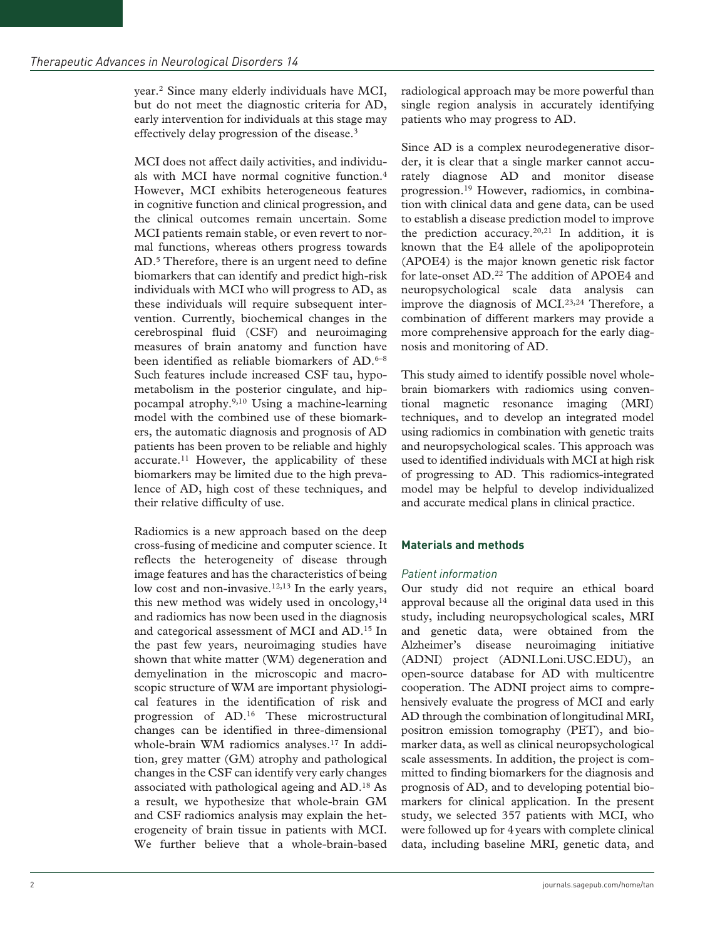year.2 Since many elderly individuals have MCI, but do not meet the diagnostic criteria for AD, early intervention for individuals at this stage may effectively delay progression of the disease.3

MCI does not affect daily activities, and individuals with MCI have normal cognitive function.4 However, MCI exhibits heterogeneous features in cognitive function and clinical progression, and the clinical outcomes remain uncertain. Some MCI patients remain stable, or even revert to normal functions, whereas others progress towards AD.<sup>5</sup> Therefore, there is an urgent need to define biomarkers that can identify and predict high-risk individuals with MCI who will progress to AD, as these individuals will require subsequent intervention. Currently, biochemical changes in the cerebrospinal fluid (CSF) and neuroimaging measures of brain anatomy and function have been identified as reliable biomarkers of AD.<sup>6-8</sup> Such features include increased CSF tau, hypometabolism in the posterior cingulate, and hippocampal atrophy.9,10 Using a machine-learning model with the combined use of these biomarkers, the automatic diagnosis and prognosis of AD patients has been proven to be reliable and highly accurate.11 However, the applicability of these biomarkers may be limited due to the high prevalence of AD, high cost of these techniques, and their relative difficulty of use.

Radiomics is a new approach based on the deep cross-fusing of medicine and computer science. It reflects the heterogeneity of disease through image features and has the characteristics of being low cost and non-invasive.<sup>12,13</sup> In the early years, this new method was widely used in oncology, $14$ and radiomics has now been used in the diagnosis and categorical assessment of MCI and AD.15 In the past few years, neuroimaging studies have shown that white matter (WM) degeneration and demyelination in the microscopic and macroscopic structure of WM are important physiological features in the identification of risk and progression of AD.16 These microstructural changes can be identified in three-dimensional whole-brain WM radiomics analyses.<sup>17</sup> In addition, grey matter (GM) atrophy and pathological changes in the CSF can identify very early changes associated with pathological ageing and AD.18 As a result, we hypothesize that whole-brain GM and CSF radiomics analysis may explain the heterogeneity of brain tissue in patients with MCI. We further believe that a whole-brain-based radiological approach may be more powerful than single region analysis in accurately identifying patients who may progress to AD.

Since AD is a complex neurodegenerative disorder, it is clear that a single marker cannot accurately diagnose AD and monitor disease progression.19 However, radiomics, in combination with clinical data and gene data, can be used to establish a disease prediction model to improve the prediction accuracy.20,21 In addition, it is known that the E4 allele of the apolipoprotein (APOE4) is the major known genetic risk factor for late-onset AD.22 The addition of APOE4 and neuropsychological scale data analysis can improve the diagnosis of MCI.<sup>23,24</sup> Therefore, a combination of different markers may provide a more comprehensive approach for the early diagnosis and monitoring of AD.

This study aimed to identify possible novel wholebrain biomarkers with radiomics using conventional magnetic resonance imaging (MRI) techniques, and to develop an integrated model using radiomics in combination with genetic traits and neuropsychological scales. This approach was used to identified individuals with MCI at high risk of progressing to AD. This radiomics-integrated model may be helpful to develop individualized and accurate medical plans in clinical practice.

# **Materials and methods**

## *Patient information*

Our study did not require an ethical board approval because all the original data used in this study, including neuropsychological scales, MRI and genetic data, were obtained from the Alzheimer's disease neuroimaging initiative (ADNI) project (ADNI.Loni.USC.EDU), an open-source database for AD with multicentre cooperation. The ADNI project aims to comprehensively evaluate the progress of MCI and early AD through the combination of longitudinal MRI, positron emission tomography (PET), and biomarker data, as well as clinical neuropsychological scale assessments. In addition, the project is committed to finding biomarkers for the diagnosis and prognosis of AD, and to developing potential biomarkers for clinical application. In the present study, we selected 357 patients with MCI, who were followed up for 4years with complete clinical data, including baseline MRI, genetic data, and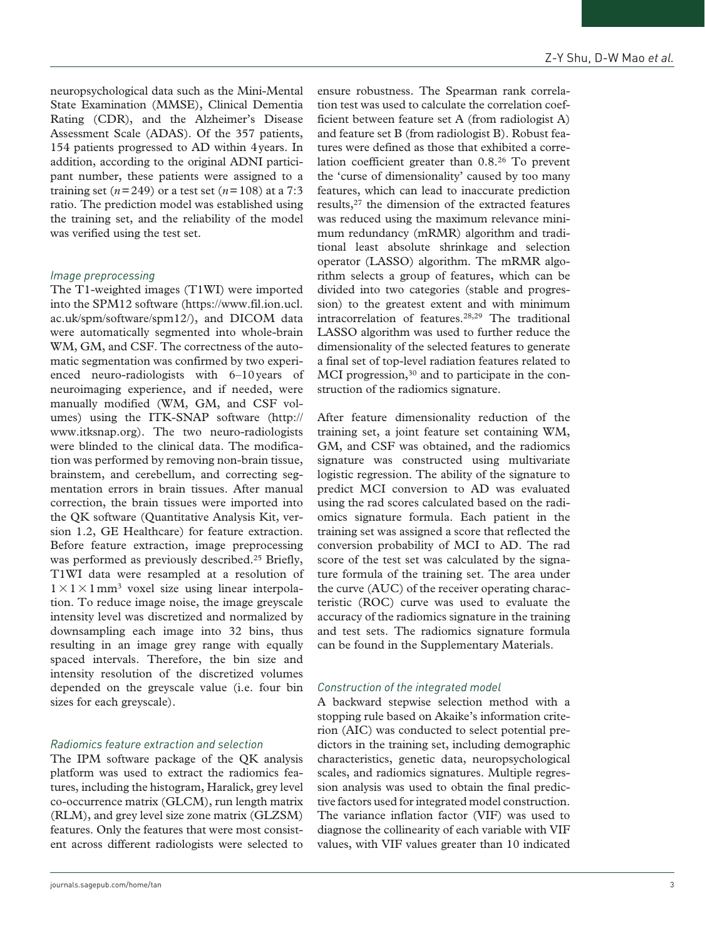neuropsychological data such as the Mini-Mental State Examination (MMSE), Clinical Dementia Rating (CDR), and the Alzheimer's Disease Assessment Scale (ADAS). Of the 357 patients, 154 patients progressed to AD within 4years. In addition, according to the original ADNI participant number, these patients were assigned to a training set  $(n=249)$  or a test set  $(n=108)$  at a 7:3 ratio. The prediction model was established using the training set, and the reliability of the model was verified using the test set.

## *Image preprocessing*

The T1-weighted images (T1WI) were imported into the SPM12 software ([https://www.fil.ion.ucl.](https://www.fil.ion.ucl.ac.uk/spm/software/spm12/) [ac.uk/spm/software/spm12/\)](https://www.fil.ion.ucl.ac.uk/spm/software/spm12/), and DICOM data were automatically segmented into whole-brain WM, GM, and CSF. The correctness of the automatic segmentation was confirmed by two experienced neuro-radiologists with 6–10years of neuroimaging experience, and if needed, were manually modified (WM, GM, and CSF volumes) using the ITK-SNAP software ([http://](http://www.itksnap.org) [www.itksnap.org\)](http://www.itksnap.org). The two neuro-radiologists were blinded to the clinical data. The modification was performed by removing non-brain tissue, brainstem, and cerebellum, and correcting segmentation errors in brain tissues. After manual correction, the brain tissues were imported into the QK software (Quantitative Analysis Kit, version 1.2, GE Healthcare) for feature extraction. Before feature extraction, image preprocessing was performed as previously described.<sup>25</sup> Briefly, T1WI data were resampled at a resolution of  $1 \times 1 \times 1$  mm<sup>3</sup> voxel size using linear interpolation. To reduce image noise, the image greyscale intensity level was discretized and normalized by downsampling each image into 32 bins, thus resulting in an image grey range with equally spaced intervals. Therefore, the bin size and intensity resolution of the discretized volumes depended on the greyscale value (i.e. four bin sizes for each greyscale).

## *Radiomics feature extraction and selection*

The IPM software package of the QK analysis platform was used to extract the radiomics features, including the histogram, Haralick, grey level co-occurrence matrix (GLCM), run length matrix (RLM), and grey level size zone matrix (GLZSM) features. Only the features that were most consistent across different radiologists were selected to

ensure robustness. The Spearman rank correlation test was used to calculate the correlation coefficient between feature set A (from radiologist A) and feature set B (from radiologist B). Robust features were defined as those that exhibited a correlation coefficient greater than 0.8.26 To prevent the 'curse of dimensionality' caused by too many features, which can lead to inaccurate prediction results,27 the dimension of the extracted features was reduced using the maximum relevance minimum redundancy (mRMR) algorithm and traditional least absolute shrinkage and selection operator (LASSO) algorithm. The mRMR algorithm selects a group of features, which can be divided into two categories (stable and progression) to the greatest extent and with minimum intracorrelation of features.28,29 The traditional LASSO algorithm was used to further reduce the dimensionality of the selected features to generate a final set of top-level radiation features related to MCI progression,<sup>30</sup> and to participate in the construction of the radiomics signature.

After feature dimensionality reduction of the training set, a joint feature set containing WM, GM, and CSF was obtained, and the radiomics signature was constructed using multivariate logistic regression. The ability of the signature to predict MCI conversion to AD was evaluated using the rad scores calculated based on the radiomics signature formula. Each patient in the training set was assigned a score that reflected the conversion probability of MCI to AD. The rad score of the test set was calculated by the signature formula of the training set. The area under the curve (AUC) of the receiver operating characteristic (ROC) curve was used to evaluate the accuracy of the radiomics signature in the training and test sets. The radiomics signature formula can be found in the Supplementary Materials.

#### *Construction of the integrated model*

A backward stepwise selection method with a stopping rule based on Akaike's information criterion (AIC) was conducted to select potential predictors in the training set, including demographic characteristics, genetic data, neuropsychological scales, and radiomics signatures. Multiple regression analysis was used to obtain the final predictive factors used for integrated model construction. The variance inflation factor (VIF) was used to diagnose the collinearity of each variable with VIF values, with VIF values greater than 10 indicated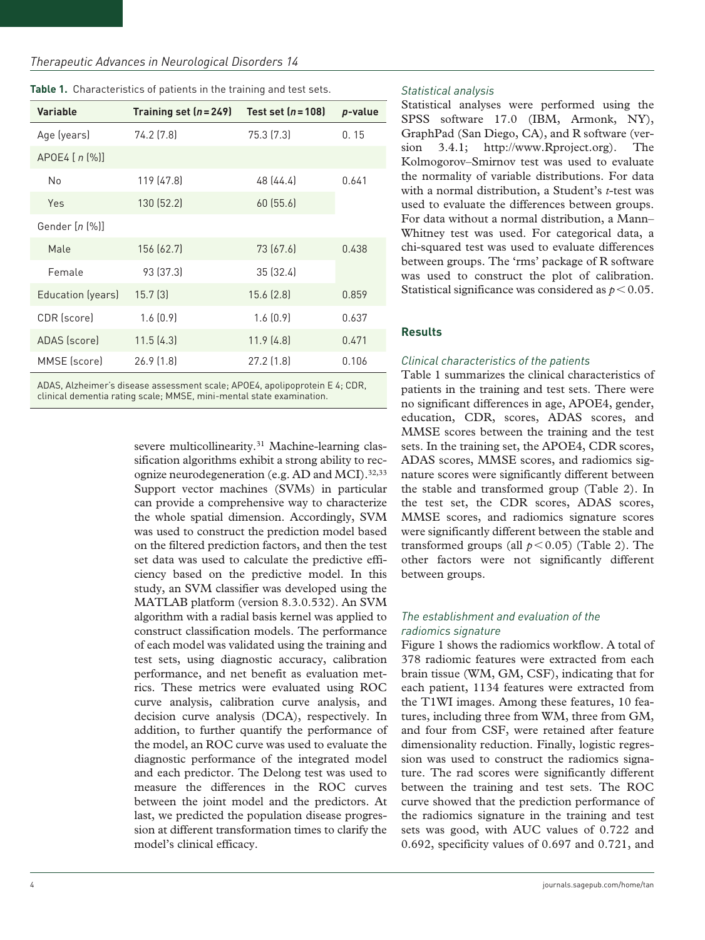| Variable            | Training set $(n=249)$ | Test set $(n=108)$ | p-value |  |
|---------------------|------------------------|--------------------|---------|--|
| Age (years)         | 74.2 (7.8)             | 75.3 (7.3)         | 0.15    |  |
| $APOE4$ [ $n$ $%$ ] |                        |                    |         |  |
| No                  | 119 (47.8)             | 48 (44.4)          | 0.641   |  |
| Yes                 | 130 (52.2)             | 60(55.6)           |         |  |
| Gender [n [%]]      |                        |                    |         |  |
| Male                | 156 (62.7)             | 73 (67.6)          | 0.438   |  |
| Female              | 93 (37.3)              | 35 (32.4)          |         |  |
| Education (years)   | 15.7 <sup>[3]</sup>    | 15.6(2.8)          | 0.859   |  |
| CDR (score)         | 1.6(0.9)               | 1.6(0.9)           | 0.637   |  |
| ADAS (score)        | 11.5(4.3)              | 11.9(4.8)          | 0.471   |  |
| MMSE (score)        | 26.9(1.8)              | 27.2(1.8)          | 0.106   |  |

ADAS, Alzheimer's disease assessment scale; APOE4, apolipoprotein E 4; CDR, clinical dementia rating scale; MMSE, mini-mental state examination.

> severe multicollinearity.<sup>31</sup> Machine-learning classification algorithms exhibit a strong ability to recognize neurodegeneration (e.g. AD and MCI).  $32,33$ Support vector machines (SVMs) in particular can provide a comprehensive way to characterize the whole spatial dimension. Accordingly, SVM was used to construct the prediction model based on the filtered prediction factors, and then the test set data was used to calculate the predictive efficiency based on the predictive model. In this study, an SVM classifier was developed using the MATLAB platform (version 8.3.0.532). An SVM algorithm with a radial basis kernel was applied to construct classification models. The performance of each model was validated using the training and test sets, using diagnostic accuracy, calibration performance, and net benefit as evaluation metrics. These metrics were evaluated using ROC curve analysis, calibration curve analysis, and decision curve analysis (DCA), respectively. In addition, to further quantify the performance of the model, an ROC curve was used to evaluate the diagnostic performance of the integrated model and each predictor. The Delong test was used to measure the differences in the ROC curves between the joint model and the predictors. At last, we predicted the population disease progression at different transformation times to clarify the model's clinical efficacy.

### *Statistical analysis*

Statistical analyses were performed using the SPSS software 17.0 (IBM, Armonk, NY), GraphPad (San Diego, CA), and R software (version 3.4.1; [http://www.Rproject.org\)](http://www.Rproject.org). The Kolmogorov–Smirnov test was used to evaluate the normality of variable distributions. For data with a normal distribution, a Student's *t*-test was used to evaluate the differences between groups. For data without a normal distribution, a Mann– Whitney test was used. For categorical data, a chi-squared test was used to evaluate differences between groups. The 'rms' package of R software was used to construct the plot of calibration. Statistical significance was considered as  $p < 0.05$ .

# **Results**

## *Clinical characteristics of the patients*

Table 1 summarizes the clinical characteristics of patients in the training and test sets. There were no significant differences in age, APOE4, gender, education, CDR, scores, ADAS scores, and MMSE scores between the training and the test sets. In the training set, the APOE4, CDR scores, ADAS scores, MMSE scores, and radiomics signature scores were significantly different between the stable and transformed group (Table 2). In the test set, the CDR scores, ADAS scores, MMSE scores, and radiomics signature scores were significantly different between the stable and transformed groups (all  $p < 0.05$ ) (Table 2). The other factors were not significantly different between groups.

## *The establishment and evaluation of the radiomics signature*

Figure 1 shows the radiomics workflow. A total of 378 radiomic features were extracted from each brain tissue (WM, GM, CSF), indicating that for each patient, 1134 features were extracted from the T1WI images. Among these features, 10 features, including three from WM, three from GM, and four from CSF, were retained after feature dimensionality reduction. Finally, logistic regression was used to construct the radiomics signature. The rad scores were significantly different between the training and test sets. The ROC curve showed that the prediction performance of the radiomics signature in the training and test sets was good, with AUC values of 0.722 and 0.692, specificity values of 0.697 and 0.721, and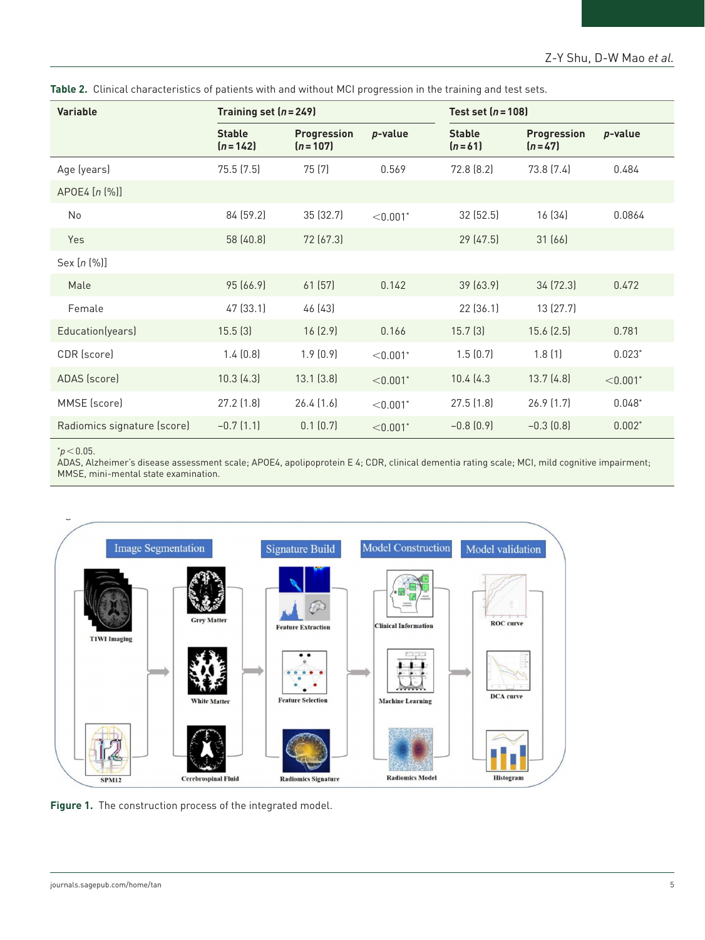| <b>Variable</b>             | Training set $(n=249)$     |                                   |                        |                           | Test set $(n=108)$             |                        |  |
|-----------------------------|----------------------------|-----------------------------------|------------------------|---------------------------|--------------------------------|------------------------|--|
|                             | <b>Stable</b><br>$(n=142)$ | <b>Progression</b><br>$(n = 107)$ | p-value                | <b>Stable</b><br>$(n=61)$ | <b>Progression</b><br>$(n=47)$ | p-value                |  |
| Age (years)                 | 75.5(7.5)                  | 75 (7)                            | 0.569                  | 72.8 (8.2)                | 73.8 (7.4)                     | 0.484                  |  |
| APOE4 [n (%)]               |                            |                                   |                        |                           |                                |                        |  |
| <b>No</b>                   | 84 (59.2)                  | 35 (32.7)                         | $< 0.001$ <sup>*</sup> | 32(52.5)                  | 16 (34)                        | 0.0864                 |  |
| Yes                         | 58 (40.8)                  | 72 (67.3)                         |                        | 29(47.5)                  | 31(66)                         |                        |  |
| Sex [n (%)]                 |                            |                                   |                        |                           |                                |                        |  |
| Male                        | 95 (66.9)                  | 61(57)                            | 0.142                  | 39 (63.9)                 | 34 (72.3)                      | 0.472                  |  |
| Female                      | 47 (33.1)                  | 46 (43)                           |                        | 22 (36.1)                 | 13 (27.7)                      |                        |  |
| Education(years)            | 15.5(3)                    | 16(2.9)                           | 0.166                  | 15.7 <sup>[3]</sup>       | 15.6(2.5)                      | 0.781                  |  |
| CDR (score)                 | 1.4(0.8)                   | 1.9(0.9)                          | $< 0.001$ <sup>*</sup> | 1.5(0.7)                  | 1.8(1)                         | $0.023*$               |  |
| ADAS (score)                | 10.3(4.3)                  | 13.1(3.8)                         | $< 0.001$ <sup>*</sup> | 10.4(4.3)                 | 13.7(4.8)                      | $< 0.001$ <sup>*</sup> |  |
| MMSE (score)                | 27.2(1.8)                  | 26.4(1.6)                         | $< 0.001$ <sup>*</sup> | 27.5(1.8)                 | 26.9(1.7)                      | $0.048*$               |  |
| Radiomics signature (score) | $-0.7(1.1)$                | 0.1(0.7)                          | $< 0.001$ <sup>*</sup> | $-0.8(0.9)$               | $-0.3(0.8)$                    | $0.002*$               |  |

**Table 2.** Clinical characteristics of patients with and without MCI progression in the training and test sets.

\**p*<0.05.

ADAS, Alzheimer's disease assessment scale; APOE4, apolipoprotein E 4; CDR, clinical dementia rating scale; MCI, mild cognitive impairment; MMSE, mini-mental state examination.



**Figure 1.** The construction process of the integrated model.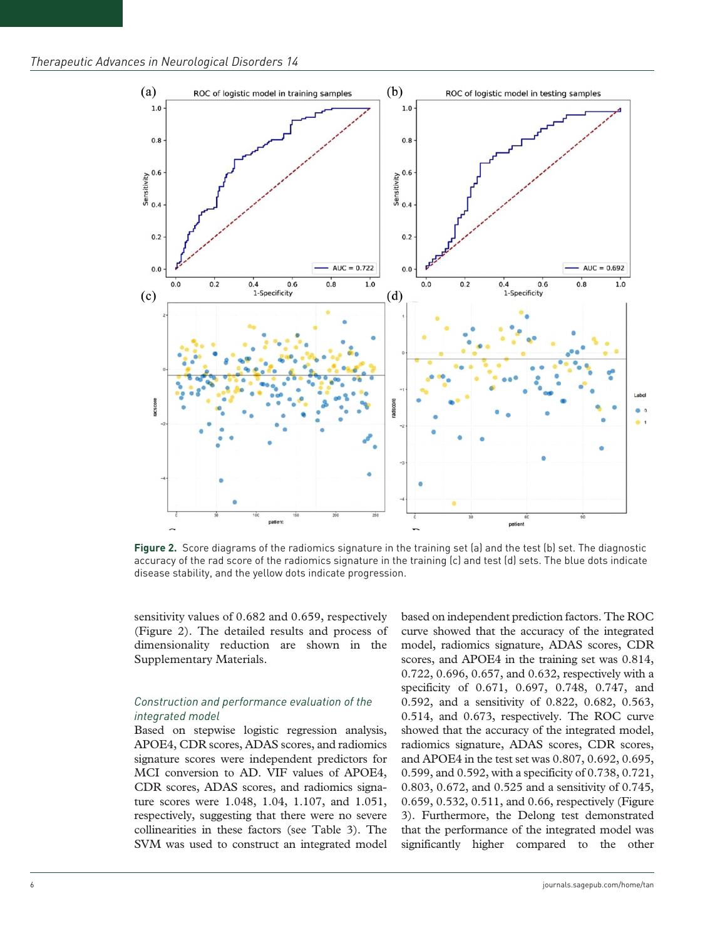

**Figure 2.** Score diagrams of the radiomics signature in the training set (a) and the test (b) set. The diagnostic accuracy of the rad score of the radiomics signature in the training (c) and test (d) sets. The blue dots indicate disease stability, and the yellow dots indicate progression.

sensitivity values of 0.682 and 0.659, respectively (Figure 2). The detailed results and process of dimensionality reduction are shown in the Supplementary Materials.

## *Construction and performance evaluation of the integrated model*

Based on stepwise logistic regression analysis, APOE4, CDR scores, ADAS scores, and radiomics signature scores were independent predictors for MCI conversion to AD. VIF values of APOE4, CDR scores, ADAS scores, and radiomics signature scores were 1.048, 1.04, 1.107, and 1.051, respectively, suggesting that there were no severe collinearities in these factors (see Table 3). The SVM was used to construct an integrated model based on independent prediction factors. The ROC curve showed that the accuracy of the integrated model, radiomics signature, ADAS scores, CDR scores, and APOE4 in the training set was 0.814, 0.722, 0.696, 0.657, and 0.632, respectively with a specificity of 0.671, 0.697, 0.748, 0.747, and 0.592, and a sensitivity of 0.822, 0.682, 0.563, 0.514, and 0.673, respectively. The ROC curve showed that the accuracy of the integrated model, radiomics signature, ADAS scores, CDR scores, and APOE4 in the test set was 0.807, 0.692, 0.695, 0.599, and 0.592, with a specificity of 0.738, 0.721, 0.803, 0.672, and 0.525 and a sensitivity of 0.745, 0.659, 0.532, 0.511, and 0.66, respectively (Figure 3). Furthermore, the Delong test demonstrated that the performance of the integrated model was significantly higher compared to the other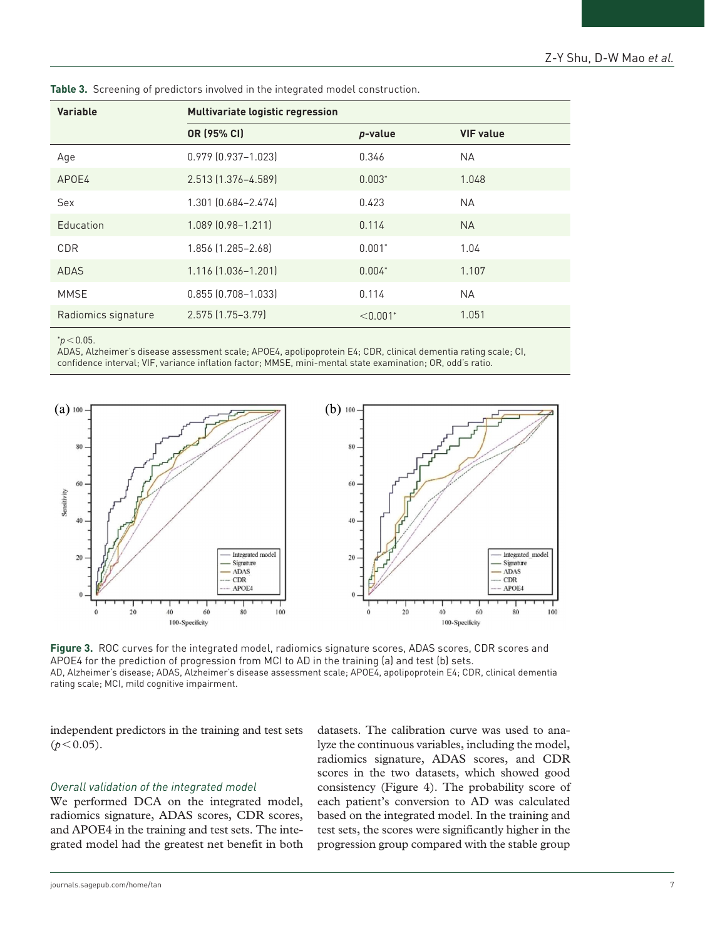| <b>Variable</b>     | <b>Multivariate logistic regression</b> |                        |                  |  |
|---------------------|-----------------------------------------|------------------------|------------------|--|
|                     | OR (95% CI)                             | p-value                | <b>VIF value</b> |  |
| Age                 | 0.979 (0.937-1.023)                     | 0.346                  | <b>NA</b>        |  |
| APOE4               | 2.513 (1.376-4.589)                     | $0.003*$               | 1.048            |  |
| Sex                 | 1.301 (0.684-2.474)                     | 0.423                  | <b>NA</b>        |  |
| Education           | 1.089 (0.98-1.211)                      | 0.114                  | <b>NA</b>        |  |
| CDR                 | 1.856 (1.285-2.68)                      | $0.001*$               | 1.04             |  |
| <b>ADAS</b>         | 1.116 (1.036-1.201)                     | $0.004*$               | 1.107            |  |
| MMSE                | $0.855$ $(0.708 - 1.033)$               | 0.114                  | NA.              |  |
| Radiomics signature | 2.575 (1.75-3.79)                       | $< 0.001$ <sup>*</sup> | 1.051            |  |

**Table 3.** Screening of predictors involved in the integrated model construction.

 $*$ *p* < 0.05.

ADAS, Alzheimer's disease assessment scale; APOE4, apolipoprotein E4; CDR, clinical dementia rating scale; CI, confidence interval; VIF, variance inflation factor; MMSE, mini-mental state examination; OR, odd's ratio.



**Figure 3.** ROC curves for the integrated model, radiomics signature scores, ADAS scores, CDR scores and APOE4 for the prediction of progression from MCI to AD in the training (a) and test (b) sets. AD, Alzheimer's disease; ADAS, Alzheimer's disease assessment scale; APOE4, apolipoprotein E4; CDR, clinical dementia rating scale; MCI, mild cognitive impairment.

independent predictors in the training and test sets  $(p<0.05)$ .

## *Overall validation of the integrated model*

We performed DCA on the integrated model, radiomics signature, ADAS scores, CDR scores, and APOE4 in the training and test sets. The integrated model had the greatest net benefit in both

datasets. The calibration curve was used to analyze the continuous variables, including the model, radiomics signature, ADAS scores, and CDR scores in the two datasets, which showed good consistency (Figure 4). The probability score of each patient's conversion to AD was calculated based on the integrated model. In the training and test sets, the scores were significantly higher in the progression group compared with the stable group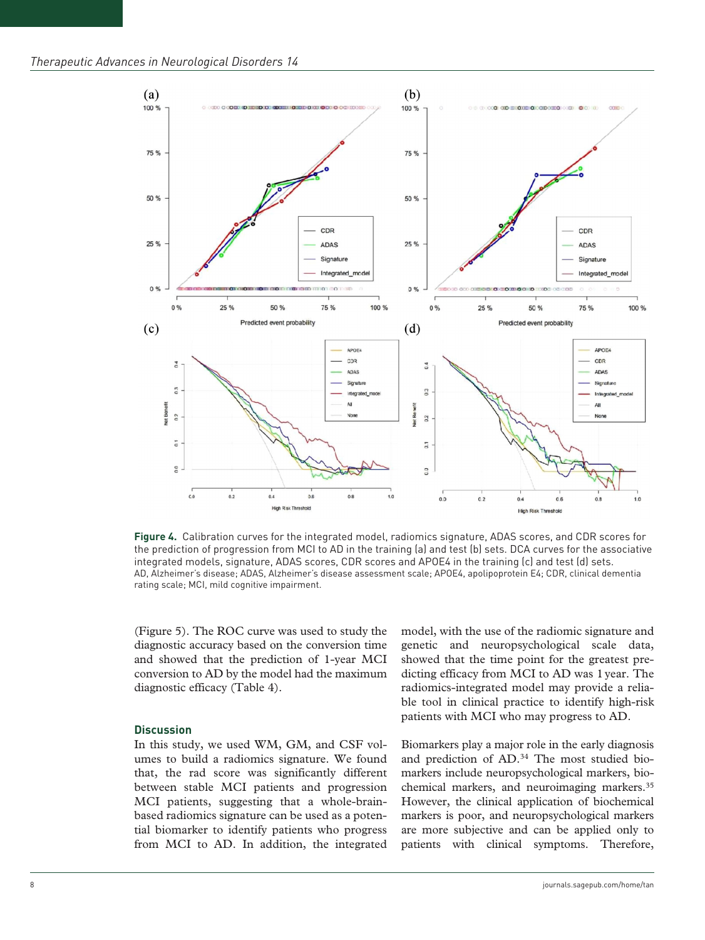

**Figure 4.** Calibration curves for the integrated model, radiomics signature, ADAS scores, and CDR scores for the prediction of progression from MCI to AD in the training (a) and test (b) sets. DCA curves for the associative integrated models, signature, ADAS scores, CDR scores and APOE4 in the training (c) and test (d) sets. AD, Alzheimer's disease; ADAS, Alzheimer's disease assessment scale; APOE4, apolipoprotein E4; CDR, clinical dementia rating scale; MCI, mild cognitive impairment.

(Figure 5). The ROC curve was used to study the diagnostic accuracy based on the conversion time and showed that the prediction of 1-year MCI conversion to AD by the model had the maximum diagnostic efficacy (Table 4).

#### **Discussion**

In this study, we used WM, GM, and CSF volumes to build a radiomics signature. We found that, the rad score was significantly different between stable MCI patients and progression MCI patients, suggesting that a whole-brainbased radiomics signature can be used as a potential biomarker to identify patients who progress from MCI to AD. In addition, the integrated model, with the use of the radiomic signature and genetic and neuropsychological scale data, showed that the time point for the greatest predicting efficacy from MCI to AD was 1year. The radiomics-integrated model may provide a reliable tool in clinical practice to identify high-risk patients with MCI who may progress to AD.

Biomarkers play a major role in the early diagnosis and prediction of AD.34 The most studied biomarkers include neuropsychological markers, biochemical markers, and neuroimaging markers.35 However, the clinical application of biochemical markers is poor, and neuropsychological markers are more subjective and can be applied only to patients with clinical symptoms. Therefore,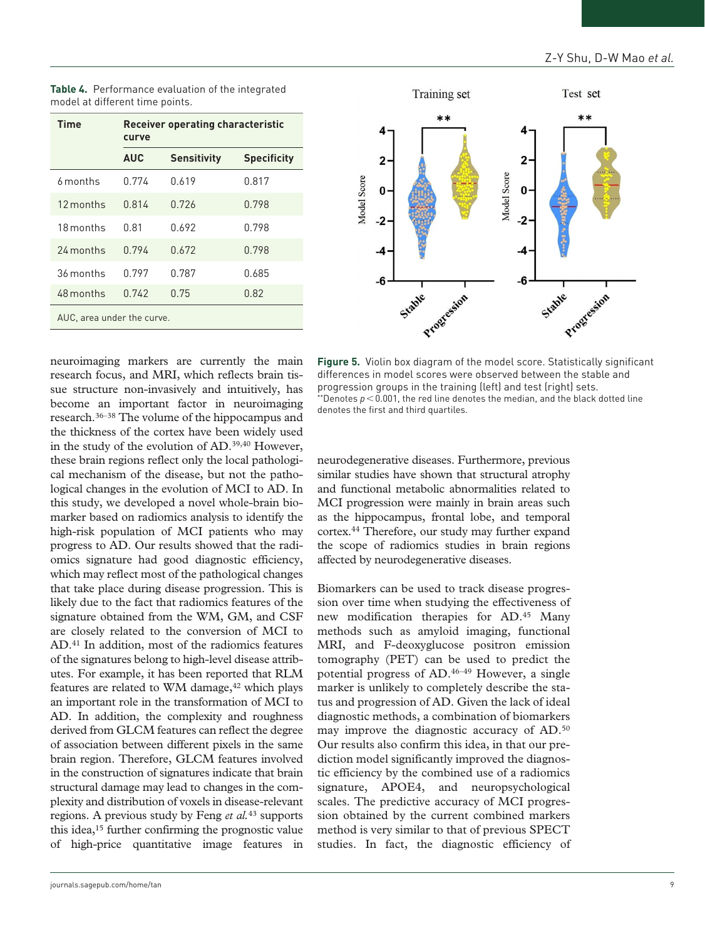| <b>Time</b>                | <b>Receiver operating characteristic</b><br>curve |                    |                    |  |
|----------------------------|---------------------------------------------------|--------------------|--------------------|--|
|                            | <b>AUC</b>                                        | <b>Sensitivity</b> | <b>Specificity</b> |  |
| 6 months                   | 0.774                                             | 0.619              | 0.817              |  |
| 12 months                  | 0.814                                             | 0.726              | 0.798              |  |
| 18 months                  | 0.81                                              | 0.692              | 0.798              |  |
| 24 months                  | 0.794                                             | 0.672              | 0.798              |  |
| 36 months                  | 0.797                                             | 0.787              | 0.685              |  |
| 48 months                  | 0.742                                             | 0.75               | 0.82               |  |
| AUC, area under the curve. |                                                   |                    |                    |  |

**Table 4.** Performance evaluation of the integrated model at different time points.



neuroimaging markers are currently the main research focus, and MRI, which reflects brain tissue structure non-invasively and intuitively, has become an important factor in neuroimaging research.36–38 The volume of the hippocampus and the thickness of the cortex have been widely used in the study of the evolution of AD.39,40 However, these brain regions reflect only the local pathological mechanism of the disease, but not the pathological changes in the evolution of MCI to AD. In this study, we developed a novel whole-brain biomarker based on radiomics analysis to identify the high-risk population of MCI patients who may progress to AD. Our results showed that the radiomics signature had good diagnostic efficiency, which may reflect most of the pathological changes that take place during disease progression. This is likely due to the fact that radiomics features of the signature obtained from the WM, GM, and CSF are closely related to the conversion of MCI to AD.41 In addition, most of the radiomics features of the signatures belong to high-level disease attributes. For example, it has been reported that RLM features are related to WM damage, $42$  which plays an important role in the transformation of MCI to AD. In addition, the complexity and roughness derived from GLCM features can reflect the degree of association between different pixels in the same brain region. Therefore, GLCM features involved in the construction of signatures indicate that brain structural damage may lead to changes in the complexity and distribution of voxels in disease-relevant regions. A previous study by Feng *et al.*43 supports this idea,15 further confirming the prognostic value of high-price quantitative image features in

**Figure 5.** Violin box diagram of the model score. Statistically significant differences in model scores were observed between the stable and progression groups in the training (left) and test (right) sets. \*\*Denotes *p*<0.001, the red line denotes the median, and the black dotted line denotes the first and third quartiles.

neurodegenerative diseases. Furthermore, previous similar studies have shown that structural atrophy and functional metabolic abnormalities related to MCI progression were mainly in brain areas such as the hippocampus, frontal lobe, and temporal cortex.44 Therefore, our study may further expand the scope of radiomics studies in brain regions affected by neurodegenerative diseases.

Biomarkers can be used to track disease progression over time when studying the effectiveness of new modification therapies for AD.45 Many methods such as amyloid imaging, functional MRI, and F-deoxyglucose positron emission tomography (PET) can be used to predict the potential progress of AD.46–49 However, a single marker is unlikely to completely describe the status and progression of AD. Given the lack of ideal diagnostic methods, a combination of biomarkers may improve the diagnostic accuracy of AD.50 Our results also confirm this idea, in that our prediction model significantly improved the diagnostic efficiency by the combined use of a radiomics signature, APOE4, and neuropsychological scales. The predictive accuracy of MCI progression obtained by the current combined markers method is very similar to that of previous SPECT studies. In fact, the diagnostic efficiency of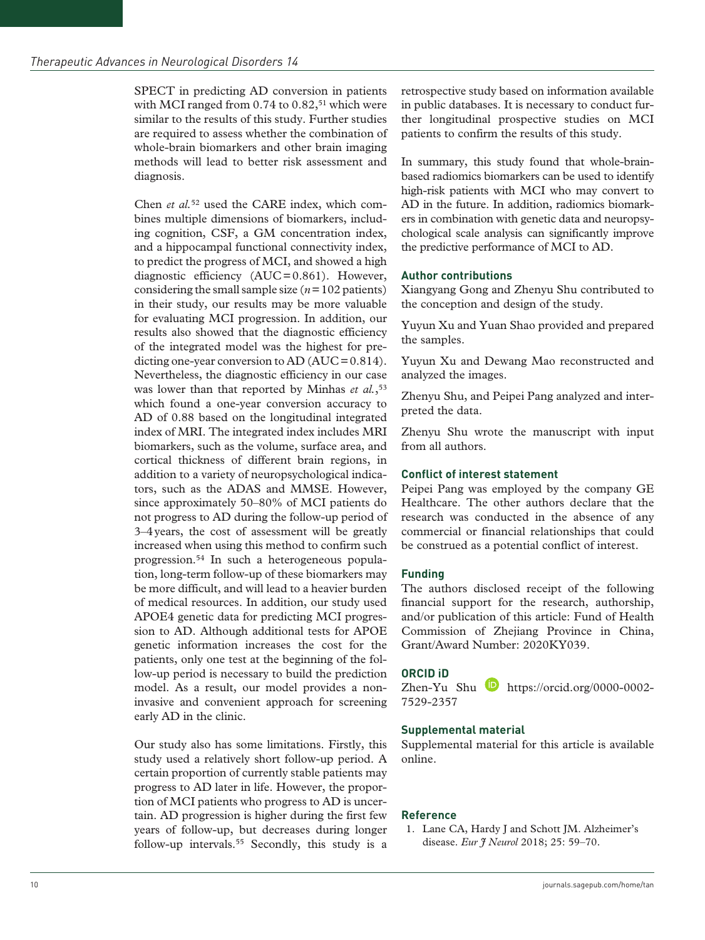SPECT in predicting AD conversion in patients with MCI ranged from  $0.74$  to  $0.82$ ,<sup>51</sup> which were similar to the results of this study. Further studies are required to assess whether the combination of whole-brain biomarkers and other brain imaging methods will lead to better risk assessment and diagnosis.

Chen *et al.*52 used the CARE index, which combines multiple dimensions of biomarkers, including cognition, CSF, a GM concentration index, and a hippocampal functional connectivity index, to predict the progress of MCI, and showed a high diagnostic efficiency (AUC=0.861). However, considering the small sample size (*n*=102 patients) in their study, our results may be more valuable for evaluating MCI progression. In addition, our results also showed that the diagnostic efficiency of the integrated model was the highest for predicting one-year conversion to  $AD(AUC=0.814)$ . Nevertheless, the diagnostic efficiency in our case was lower than that reported by Minhas *et al.*,<sup>53</sup> which found a one-year conversion accuracy to AD of 0.88 based on the longitudinal integrated index of MRI. The integrated index includes MRI biomarkers, such as the volume, surface area, and cortical thickness of different brain regions, in addition to a variety of neuropsychological indicators, such as the ADAS and MMSE. However, since approximately 50–80% of MCI patients do not progress to AD during the follow-up period of 3–4years, the cost of assessment will be greatly increased when using this method to confirm such progression.54 In such a heterogeneous population, long-term follow-up of these biomarkers may be more difficult, and will lead to a heavier burden of medical resources. In addition, our study used APOE4 genetic data for predicting MCI progression to AD. Although additional tests for APOE genetic information increases the cost for the patients, only one test at the beginning of the follow-up period is necessary to build the prediction model. As a result, our model provides a noninvasive and convenient approach for screening early AD in the clinic.

Our study also has some limitations. Firstly, this study used a relatively short follow-up period. A certain proportion of currently stable patients may progress to AD later in life. However, the proportion of MCI patients who progress to AD is uncertain. AD progression is higher during the first few years of follow-up, but decreases during longer follow-up intervals.<sup>55</sup> Secondly, this study is a

retrospective study based on information available in public databases. It is necessary to conduct further longitudinal prospective studies on MCI patients to confirm the results of this study.

In summary, this study found that whole-brainbased radiomics biomarkers can be used to identify high-risk patients with MCI who may convert to AD in the future. In addition, radiomics biomarkers in combination with genetic data and neuropsychological scale analysis can significantly improve the predictive performance of MCI to AD.

## **Author contributions**

Xiangyang Gong and Zhenyu Shu contributed to the conception and design of the study.

Yuyun Xu and Yuan Shao provided and prepared the samples.

Yuyun Xu and Dewang Mao reconstructed and analyzed the images.

Zhenyu Shu, and Peipei Pang analyzed and interpreted the data.

Zhenyu Shu wrote the manuscript with input from all authors.

## **Conflict of interest statement**

Peipei Pang was employed by the company GE Healthcare. The other authors declare that the research was conducted in the absence of any commercial or financial relationships that could be construed as a potential conflict of interest.

## **Funding**

The authors disclosed receipt of the following financial support for the research, authorship, and/or publication of this article: Fund of Health Commission of Zhejiang Province in China, Grant/Award Number: 2020KY039.

## **ORCID iD**

Zhen-Yu Shu [https://orcid.org/0000-0002-](https://orcid.org/0000-0002-7529-2357) [7529-2357](https://orcid.org/0000-0002-7529-2357)

## **Supplemental material**

Supplemental material for this article is available online.

## **Reference**

1. Lane CA, Hardy J and Schott JM. Alzheimer's disease. *Eur J Neurol* 2018; 25: 59–70.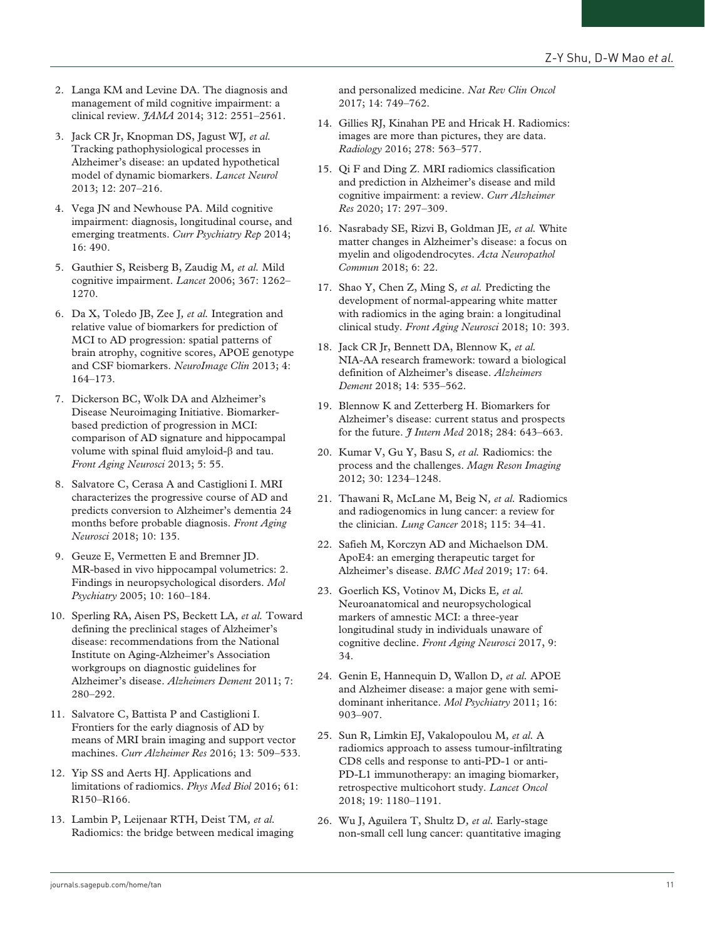- 2. Langa KM and Levine DA. The diagnosis and management of mild cognitive impairment: a clinical review. *JAMA* 2014; 312: 2551–2561.
- 3. Jack CR Jr, Knopman DS, Jagust WJ*, et al.* Tracking pathophysiological processes in Alzheimer's disease: an updated hypothetical model of dynamic biomarkers. *Lancet Neurol* 2013; 12: 207–216.
- 4. Vega JN and Newhouse PA. Mild cognitive impairment: diagnosis, longitudinal course, and emerging treatments. *Curr Psychiatry Rep* 2014; 16: 490.
- 5. Gauthier S, Reisberg B, Zaudig M*, et al.* Mild cognitive impairment. *Lancet* 2006; 367: 1262– 1270.
- 6. Da X, Toledo JB, Zee J*, et al.* Integration and relative value of biomarkers for prediction of MCI to AD progression: spatial patterns of brain atrophy, cognitive scores, APOE genotype and CSF biomarkers. *NeuroImage Clin* 2013; 4: 164–173.
- 7. Dickerson BC, Wolk DA and Alzheimer's Disease Neuroimaging Initiative. Biomarkerbased prediction of progression in MCI: comparison of AD signature and hippocampal volume with spinal fluid amyloid-β and tau. *Front Aging Neurosci* 2013; 5: 55.
- 8. Salvatore C, Cerasa A and Castiglioni I. MRI characterizes the progressive course of AD and predicts conversion to Alzheimer's dementia 24 months before probable diagnosis. *Front Aging Neurosci* 2018; 10: 135.
- 9. Geuze E, Vermetten E and Bremner JD. MR-based in vivo hippocampal volumetrics: 2. Findings in neuropsychological disorders. *Mol Psychiatry* 2005; 10: 160–184.
- 10. Sperling RA, Aisen PS, Beckett LA*, et al.* Toward defining the preclinical stages of Alzheimer's disease: recommendations from the National Institute on Aging-Alzheimer's Association workgroups on diagnostic guidelines for Alzheimer's disease. *Alzheimers Dement* 2011; 7: 280–292.
- 11. Salvatore C, Battista P and Castiglioni I. Frontiers for the early diagnosis of AD by means of MRI brain imaging and support vector machines. *Curr Alzheimer Res* 2016; 13: 509–533.
- 12. Yip SS and Aerts HJ. Applications and limitations of radiomics. *Phys Med Biol* 2016; 61: R150–R166.
- 13. Lambin P, Leijenaar RTH, Deist TM*, et al.* Radiomics: the bridge between medical imaging

and personalized medicine. *Nat Rev Clin Oncol* 2017; 14: 749–762.

- 14. Gillies RJ, Kinahan PE and Hricak H. Radiomics: images are more than pictures, they are data. *Radiology* 2016; 278: 563–577.
- 15. Qi F and Ding Z. MRI radiomics classification and prediction in Alzheimer's disease and mild cognitive impairment: a review. *Curr Alzheimer Res* 2020; 17: 297–309.
- 16. Nasrabady SE, Rizvi B, Goldman JE*, et al.* White matter changes in Alzheimer's disease: a focus on myelin and oligodendrocytes. *Acta Neuropathol Commun* 2018; 6: 22.
- 17. Shao Y, Chen Z, Ming S*, et al.* Predicting the development of normal-appearing white matter with radiomics in the aging brain: a longitudinal clinical study. *Front Aging Neurosci* 2018; 10: 393.
- 18. Jack CR Jr, Bennett DA, Blennow K*, et al.* NIA-AA research framework: toward a biological definition of Alzheimer's disease. *Alzheimers Dement* 2018; 14: 535–562.
- 19. Blennow K and Zetterberg H. Biomarkers for Alzheimer's disease: current status and prospects for the future. *J Intern Med* 2018; 284: 643–663.
- 20. Kumar V, Gu Y, Basu S*, et al.* Radiomics: the process and the challenges. *Magn Reson Imaging* 2012; 30: 1234–1248.
- 21. Thawani R, McLane M, Beig N*, et al.* Radiomics and radiogenomics in lung cancer: a review for the clinician. *Lung Cancer* 2018; 115: 34–41.
- 22. Safieh M, Korczyn AD and Michaelson DM. ApoE4: an emerging therapeutic target for Alzheimer's disease. *BMC Med* 2019; 17: 64.
- 23. Goerlich KS, Votinov M, Dicks E*, et al.* Neuroanatomical and neuropsychological markers of amnestic MCI: a three-year longitudinal study in individuals unaware of cognitive decline. *Front Aging Neurosci* 2017, 9: 34.
- 24. Genin E, Hannequin D, Wallon D*, et al.* APOE and Alzheimer disease: a major gene with semidominant inheritance. *Mol Psychiatry* 2011; 16: 903–907.
- 25. Sun R, Limkin EJ, Vakalopoulou M*, et al.* A radiomics approach to assess tumour-infiltrating CD8 cells and response to anti-PD-1 or anti-PD-L1 immunotherapy: an imaging biomarker, retrospective multicohort study. *Lancet Oncol* 2018; 19: 1180–1191.
- 26. Wu J, Aguilera T, Shultz D*, et al.* Early-stage non-small cell lung cancer: quantitative imaging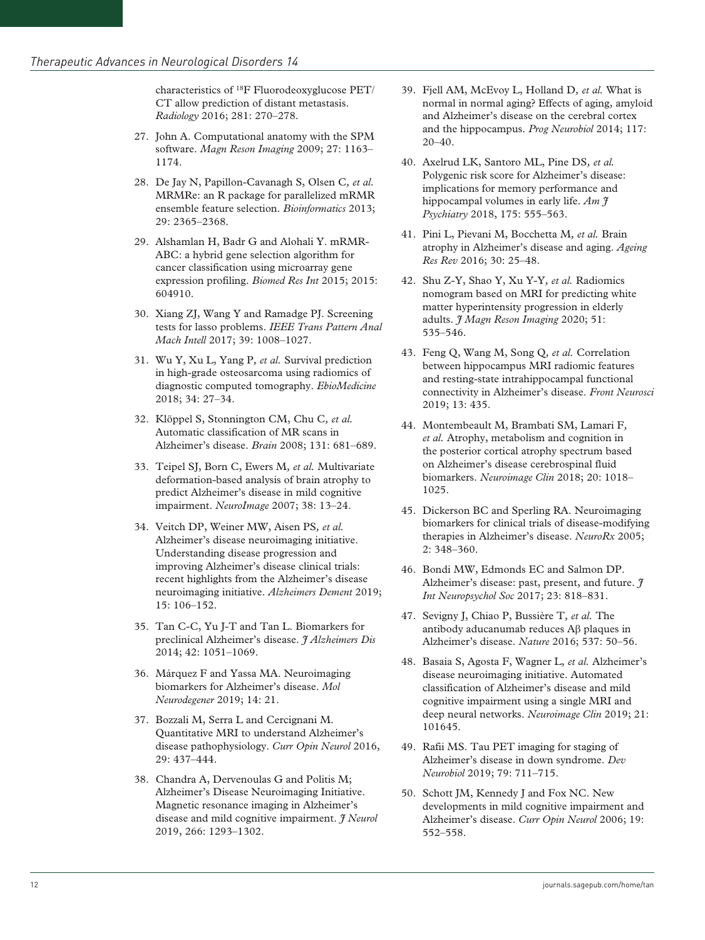characteristics of 18F Fluorodeoxyglucose PET/ CT allow prediction of distant metastasis. *Radiology* 2016; 281: 270–278.

- 27. John A. Computational anatomy with the SPM software. *Magn Reson Imaging* 2009; 27: 1163– 1174.
- 28. De Jay N, Papillon-Cavanagh S, Olsen C*, et al.* MRMRe: an R package for parallelized mRMR ensemble feature selection. *Bioinformatics* 2013; 29: 2365–2368.
- 29. Alshamlan H, Badr G and Alohali Y. mRMR-ABC: a hybrid gene selection algorithm for cancer classification using microarray gene expression profiling. *Biomed Res Int* 2015; 2015: 604910.
- 30. Xiang ZJ, Wang Y and Ramadge PJ. Screening tests for lasso problems. *IEEE Trans Pattern Anal Mach Intell* 2017; 39: 1008–1027.
- 31. Wu Y, Xu L, Yang P*, et al.* Survival prediction in high-grade osteosarcoma using radiomics of diagnostic computed tomography. *EbioMedicine* 2018; 34: 27–34.
- 32. Klöppel S, Stonnington CM, Chu C*, et al.* Automatic classification of MR scans in Alzheimer's disease. *Brain* 2008; 131: 681–689.
- 33. Teipel SJ, Born C, Ewers M*, et al.* Multivariate deformation-based analysis of brain atrophy to predict Alzheimer's disease in mild cognitive impairment. *NeuroImage* 2007; 38: 13–24.
- 34. Veitch DP, Weiner MW, Aisen PS*, et al.* Alzheimer's disease neuroimaging initiative. Understanding disease progression and improving Alzheimer's disease clinical trials: recent highlights from the Alzheimer's disease neuroimaging initiative. *Alzheimers Dement* 2019; 15: 106–152.
- 35. Tan C-C, Yu J-T and Tan L. Biomarkers for preclinical Alzheimer's disease. *J Alzheimers Dis* 2014; 42: 1051–1069.
- 36. Márquez F and Yassa MA. Neuroimaging biomarkers for Alzheimer's disease. *Mol Neurodegener* 2019; 14: 21.
- 37. Bozzali M, Serra L and Cercignani M. Quantitative MRI to understand Alzheimer's disease pathophysiology. *Curr Opin Neurol* 2016, 29: 437–444.
- 38. Chandra A, Dervenoulas G and Politis M; Alzheimer's Disease Neuroimaging Initiative. Magnetic resonance imaging in Alzheimer's disease and mild cognitive impairment. *J Neurol* 2019, 266: 1293–1302.
- 39. Fjell AM, McEvoy L, Holland D*, et al.* What is normal in normal aging? Effects of aging, amyloid and Alzheimer's disease on the cerebral cortex and the hippocampus. *Prog Neurobiol* 2014; 117: 20–40.
- 40. Axelrud LK, Santoro ML, Pine DS*, et al.* Polygenic risk score for Alzheimer's disease: implications for memory performance and hippocampal volumes in early life. *Am J Psychiatry* 2018, 175: 555–563.
- 41. Pini L, Pievani M, Bocchetta M*, et al.* Brain atrophy in Alzheimer's disease and aging. *Ageing Res Rev* 2016; 30: 25–48.
- 42. Shu Z-Y, Shao Y, Xu Y-Y*, et al.* Radiomics nomogram based on MRI for predicting white matter hyperintensity progression in elderly adults. *J Magn Reson Imaging* 2020; 51: 535–546.
- 43. Feng Q, Wang M, Song Q*, et al.* Correlation between hippocampus MRI radiomic features and resting-state intrahippocampal functional connectivity in Alzheimer's disease. *Front Neurosci* 2019; 13: 435.
- 44. Montembeault M, Brambati SM, Lamari F*, et al.* Atrophy, metabolism and cognition in the posterior cortical atrophy spectrum based on Alzheimer's disease cerebrospinal fluid biomarkers. *Neuroimage Clin* 2018; 20: 1018– 1025.
- 45. Dickerson BC and Sperling RA. Neuroimaging biomarkers for clinical trials of disease-modifying therapies in Alzheimer's disease. *NeuroRx* 2005; 2: 348–360.
- 46. Bondi MW, Edmonds EC and Salmon DP. Alzheimer's disease: past, present, and future. *J Int Neuropsychol Soc* 2017; 23: 818–831.
- 47. Sevigny J, Chiao P, Bussière T*, et al.* The antibody aducanumab reduces Aβ plaques in Alzheimer's disease. *Nature* 2016; 537: 50–56.
- 48. Basaia S, Agosta F, Wagner L*, et al.* Alzheimer's disease neuroimaging initiative. Automated classification of Alzheimer's disease and mild cognitive impairment using a single MRI and deep neural networks. *Neuroimage Clin* 2019; 21: 101645.
- 49. Rafii MS. Tau PET imaging for staging of Alzheimer's disease in down syndrome. *Dev Neurobiol* 2019; 79: 711–715.
- 50. Schott JM, Kennedy J and Fox NC. New developments in mild cognitive impairment and Alzheimer's disease. *Curr Opin Neurol* 2006; 19: 552–558.